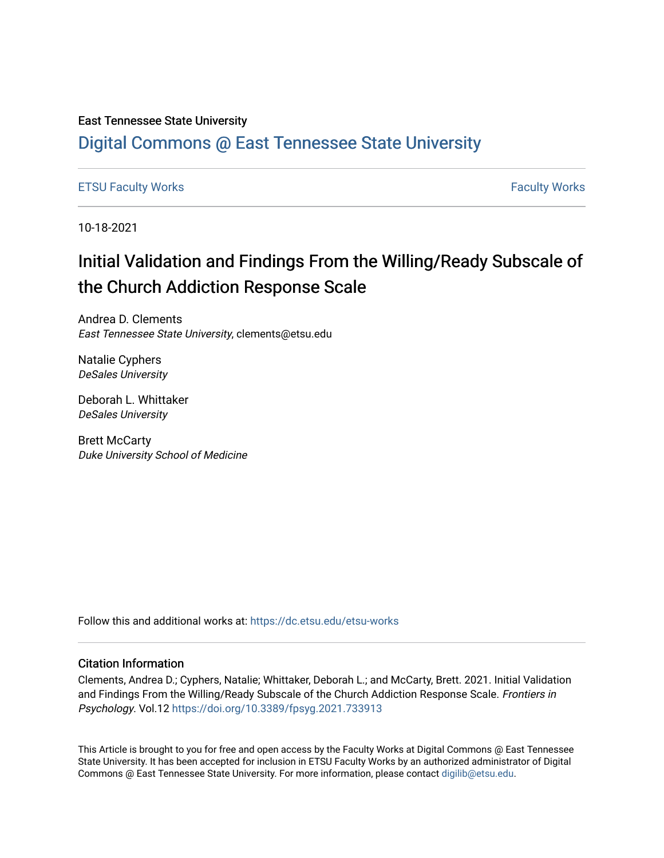#### East Tennessee State University

# [Digital Commons @ East Tennessee State University](https://dc.etsu.edu/)

#### [ETSU Faculty Works](https://dc.etsu.edu/etsu-works) **Faculty Works** [Faculty Works](https://dc.etsu.edu/faculty-works) **Faculty Works**

10-18-2021

# Initial Validation and Findings From the Willing/Ready Subscale of the Church Addiction Response Scale

Andrea D. Clements East Tennessee State University, clements@etsu.edu

Natalie Cyphers DeSales University

Deborah L. Whittaker DeSales University

Brett McCarty Duke University School of Medicine

Follow this and additional works at: [https://dc.etsu.edu/etsu-works](https://dc.etsu.edu/etsu-works?utm_source=dc.etsu.edu%2Fetsu-works%2F9498&utm_medium=PDF&utm_campaign=PDFCoverPages) 

#### Citation Information

Clements, Andrea D.; Cyphers, Natalie; Whittaker, Deborah L.; and McCarty, Brett. 2021. Initial Validation and Findings From the Willing/Ready Subscale of the Church Addiction Response Scale. Frontiers in Psychology. Vol.12 <https://doi.org/10.3389/fpsyg.2021.733913>

This Article is brought to you for free and open access by the Faculty Works at Digital Commons @ East Tennessee State University. It has been accepted for inclusion in ETSU Faculty Works by an authorized administrator of Digital Commons @ East Tennessee State University. For more information, please contact [digilib@etsu.edu.](mailto:digilib@etsu.edu)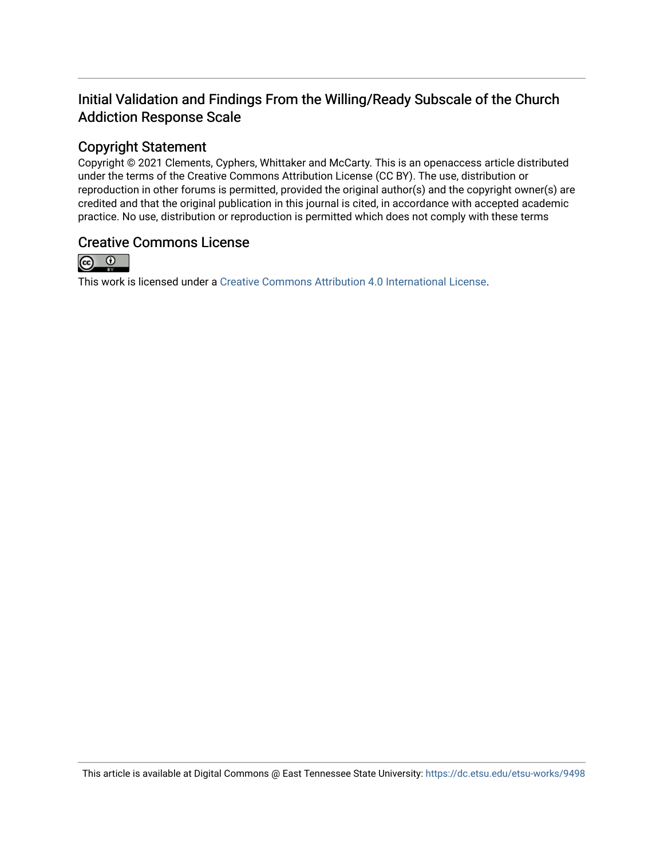# Initial Validation and Findings From the Willing/Ready Subscale of the Church Addiction Response Scale

# Copyright Statement

Copyright © 2021 Clements, Cyphers, Whittaker and McCarty. This is an openaccess article distributed under the terms of the Creative Commons Attribution License (CC BY). The use, distribution or reproduction in other forums is permitted, provided the original author(s) and the copyright owner(s) are credited and that the original publication in this journal is cited, in accordance with accepted academic practice. No use, distribution or reproduction is permitted which does not comply with these terms

## Creative Commons License



This work is licensed under a [Creative Commons Attribution 4.0 International License.](https://creativecommons.org/licenses/by/4.0/)

This article is available at Digital Commons @ East Tennessee State University: <https://dc.etsu.edu/etsu-works/9498>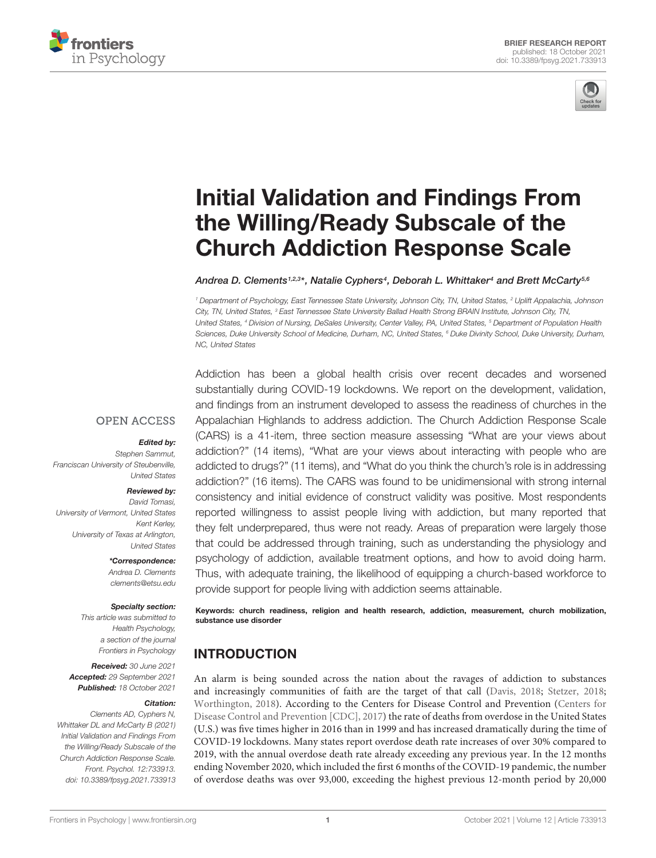



# [Initial Validation and Findings From](https://www.frontiersin.org/articles/10.3389/fpsyg.2021.733913/full) the Willing/Ready Subscale of the Church Addiction Response Scale

Andrea D. Clements1.23\*, Natalie Cyphers4, Deborah L. Whittaker4 and Brett McCarty5.6

<sup>1</sup> Department of Psychology, East Tennessee State University, Johnson City, TN, United States, <sup>2</sup> Uplift Appalachia, Johnson City, TN, United States, <sup>3</sup> East Tennessee State University Ballad Health Strong BRAIN Institute, Johnson City, TN, United States, <sup>4</sup> Division of Nursing, DeSales University, Center Valley, PA, United States, <sup>5</sup> Department of Population Health Sciences, Duke University School of Medicine, Durham, NC, United States, <sup>6</sup> Duke Divinity School, Duke University, Durham, NC, United States

**OPEN ACCESS** 

#### Edited by:

Stephen Sammut, Franciscan University of Steubenville, United States

#### Reviewed by:

David Tomasi, University of Vermont, United States Kent Kerley, University of Texas at Arlington, United States

> \*Correspondence: Andrea D. Clements clements@etsu.edu

#### Specialty section:

This article was submitted to Health Psychology, a section of the journal Frontiers in Psychology

Received: 30 June 2021 Accepted: 29 September 2021 Published: 18 October 2021

#### Citation:

Clements AD, Cyphers N, Whittaker DL and McCarty B (2021) Initial Validation and Findings From the Willing/Ready Subscale of the Church Addiction Response Scale. Front. Psychol. 12:733913. doi: [10.3389/fpsyg.2021.733913](https://doi.org/10.3389/fpsyg.2021.733913)

Addiction has been a global health crisis over recent decades and worsened substantially during COVID-19 lockdowns. We report on the development, validation, and findings from an instrument developed to assess the readiness of churches in the Appalachian Highlands to address addiction. The Church Addiction Response Scale (CARS) is a 41-item, three section measure assessing "What are your views about addiction?" (14 items), "What are your views about interacting with people who are addicted to drugs?" (11 items), and "What do you think the church's role is in addressing addiction?" (16 items). The CARS was found to be unidimensional with strong internal consistency and initial evidence of construct validity was positive. Most respondents reported willingness to assist people living with addiction, but many reported that they felt underprepared, thus were not ready. Areas of preparation were largely those that could be addressed through training, such as understanding the physiology and psychology of addiction, available treatment options, and how to avoid doing harm. Thus, with adequate training, the likelihood of equipping a church-based workforce to provide support for people living with addiction seems attainable.

Keywords: church readiness, religion and health research, addiction, measurement, church mobilization, substance use disorder

## INTRODUCTION

An alarm is being sounded across the nation about the ravages of addiction to substances and increasingly communities of faith are the target of that call [\(Davis,](#page-7-0) [2018;](#page-7-0) [Stetzer,](#page-8-0) [2018;](#page-8-0) [Worthington,](#page-8-1) [2018\)](#page-8-1). According to the Centers for Disease Control and Prevention [\(Centers for](#page-7-1) [Disease Control and Prevention \[CDC\],](#page-7-1) [2017\)](#page-7-1) the rate of deaths from overdose in the United States (U.S.) was five times higher in 2016 than in 1999 and has increased dramatically during the time of COVID-19 lockdowns. Many states report overdose death rate increases of over 30% compared to 2019, with the annual overdose death rate already exceeding any previous year. In the 12 months ending November 2020, which included the first 6 months of the COVID-19 pandemic, the number of overdose deaths was over 93,000, exceeding the highest previous 12-month period by 20,000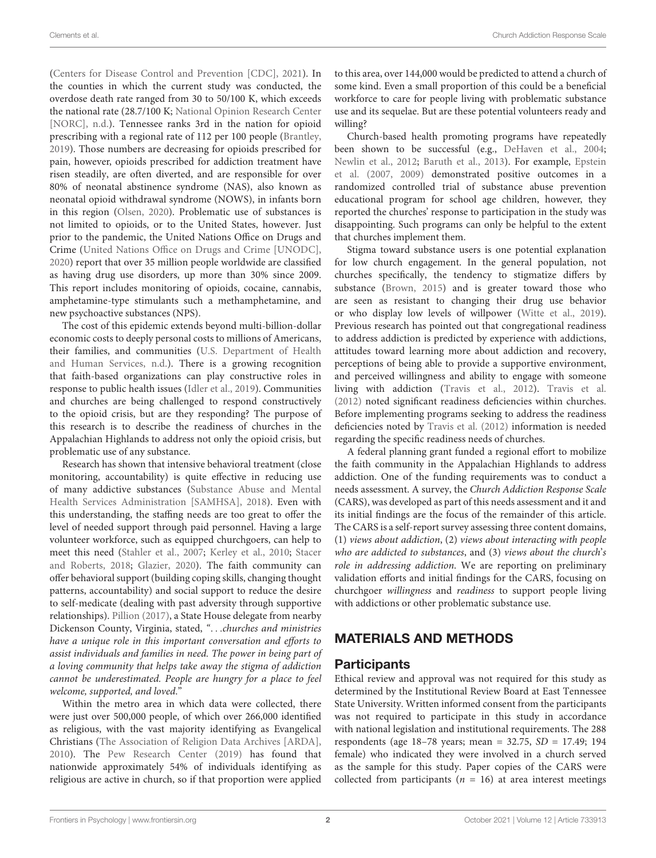[\(Centers for Disease Control and Prevention \[CDC\],](#page-7-2) [2021\)](#page-7-2). In the counties in which the current study was conducted, the overdose death rate ranged from 30 to 50/100 K, which exceeds the national rate (28.7/100 K; [National Opinion Research Center](#page-8-2) [\[NORC\],](#page-8-2) [n.d.\)](#page-8-2). Tennessee ranks 3rd in the nation for opioid prescribing with a regional rate of 112 per 100 people [\(Brantley,](#page-7-3) [2019\)](#page-7-3). Those numbers are decreasing for opioids prescribed for pain, however, opioids prescribed for addiction treatment have risen steadily, are often diverted, and are responsible for over 80% of neonatal abstinence syndrome (NAS), also known as neonatal opioid withdrawal syndrome (NOWS), in infants born in this region [\(Olsen,](#page-8-3) [2020\)](#page-8-3). Problematic use of substances is not limited to opioids, or to the United States, however. Just prior to the pandemic, the United Nations Office on Drugs and Crime [\(United Nations Office on Drugs and Crime \[UNODC\],](#page-8-4) [2020\)](#page-8-4) report that over 35 million people worldwide are classified as having drug use disorders, up more than 30% since 2009. This report includes monitoring of opioids, cocaine, cannabis, amphetamine-type stimulants such a methamphetamine, and new psychoactive substances (NPS).

The cost of this epidemic extends beyond multi-billion-dollar economic costs to deeply personal costs to millions of Americans, their families, and communities [\(U.S. Department of Health](#page-8-5) [and Human Services,](#page-8-5) [n.d.\)](#page-8-5). There is a growing recognition that faith-based organizations can play constructive roles in response to public health issues [\(Idler et al.,](#page-7-4) [2019\)](#page-7-4). Communities and churches are being challenged to respond constructively to the opioid crisis, but are they responding? The purpose of this research is to describe the readiness of churches in the Appalachian Highlands to address not only the opioid crisis, but problematic use of any substance.

Research has shown that intensive behavioral treatment (close monitoring, accountability) is quite effective in reducing use of many addictive substances [\(Substance Abuse and Mental](#page-8-6) [Health Services Administration \[SAMHSA\],](#page-8-6) [2018\)](#page-8-6). Even with this understanding, the staffing needs are too great to offer the level of needed support through paid personnel. Having a large volunteer workforce, such as equipped churchgoers, can help to meet this need [\(Stahler et al.,](#page-8-7) [2007;](#page-8-7) [Kerley et al.,](#page-7-5) [2010;](#page-7-5) [Stacer](#page-8-8) [and Roberts,](#page-8-8) [2018;](#page-8-8) [Glazier,](#page-7-6) [2020\)](#page-7-6). The faith community can offer behavioral support (building coping skills, changing thought patterns, accountability) and social support to reduce the desire to self-medicate (dealing with past adversity through supportive relationships). [Pillion](#page-8-9) [\(2017\)](#page-8-9), a State House delegate from nearby Dickenson County, Virginia, stated, ". . .churches and ministries have a unique role in this important conversation and efforts to assist individuals and families in need. The power in being part of a loving community that helps take away the stigma of addiction cannot be underestimated. People are hungry for a place to feel welcome, supported, and loved."

Within the metro area in which data were collected, there were just over 500,000 people, of which over 266,000 identified as religious, with the vast majority identifying as Evangelical Christians [\(The Association of Religion Data Archives \[ARDA\],](#page-8-10) [2010\)](#page-8-10). The [Pew Research Center](#page-8-11) [\(2019\)](#page-8-11) has found that nationwide approximately 54% of individuals identifying as religious are active in church, so if that proportion were applied

to this area, over 144,000 would be predicted to attend a church of some kind. Even a small proportion of this could be a beneficial workforce to care for people living with problematic substance use and its sequelae. But are these potential volunteers ready and willing?

Church-based health promoting programs have repeatedly been shown to be successful (e.g., [DeHaven et al.,](#page-7-7) [2004;](#page-7-7) [Newlin et al.,](#page-8-12) [2012;](#page-8-12) [Baruth et al.,](#page-7-8) [2013\)](#page-7-8). For example, [Epstein](#page-7-9) [et al.](#page-7-9) [\(2007,](#page-7-9) [2009\)](#page-7-10) demonstrated positive outcomes in a randomized controlled trial of substance abuse prevention educational program for school age children, however, they reported the churches' response to participation in the study was disappointing. Such programs can only be helpful to the extent that churches implement them.

Stigma toward substance users is one potential explanation for low church engagement. In the general population, not churches specifically, the tendency to stigmatize differs by substance [\(Brown,](#page-7-11) [2015\)](#page-7-11) and is greater toward those who are seen as resistant to changing their drug use behavior or who display low levels of willpower [\(Witte et al.,](#page-8-13) [2019\)](#page-8-13). Previous research has pointed out that congregational readiness to address addiction is predicted by experience with addictions, attitudes toward learning more about addiction and recovery, perceptions of being able to provide a supportive environment, and perceived willingness and ability to engage with someone living with addiction [\(Travis et al.,](#page-8-14) [2012\)](#page-8-14). [Travis et al.](#page-8-14) [\(2012\)](#page-8-14) noted significant readiness deficiencies within churches. Before implementing programs seeking to address the readiness deficiencies noted by [Travis et al.](#page-8-14) [\(2012\)](#page-8-14) information is needed regarding the specific readiness needs of churches.

A federal planning grant funded a regional effort to mobilize the faith community in the Appalachian Highlands to address addiction. One of the funding requirements was to conduct a needs assessment. A survey, the Church Addiction Response Scale (CARS), was developed as part of this needs assessment and it and its initial findings are the focus of the remainder of this article. The CARS is a self-report survey assessing three content domains, (1) views about addiction, (2) views about interacting with people who are addicted to substances, and (3) views about the church's role in addressing addiction. We are reporting on preliminary validation efforts and initial findings for the CARS, focusing on churchgoer willingness and readiness to support people living with addictions or other problematic substance use.

## MATERIALS AND METHODS

#### **Participants**

Ethical review and approval was not required for this study as determined by the Institutional Review Board at East Tennessee State University. Written informed consent from the participants was not required to participate in this study in accordance with national legislation and institutional requirements. The 288 respondents (age 18–78 years; mean = 32.75, SD = 17.49; 194 female) who indicated they were involved in a church served as the sample for this study. Paper copies of the CARS were collected from participants ( $n = 16$ ) at area interest meetings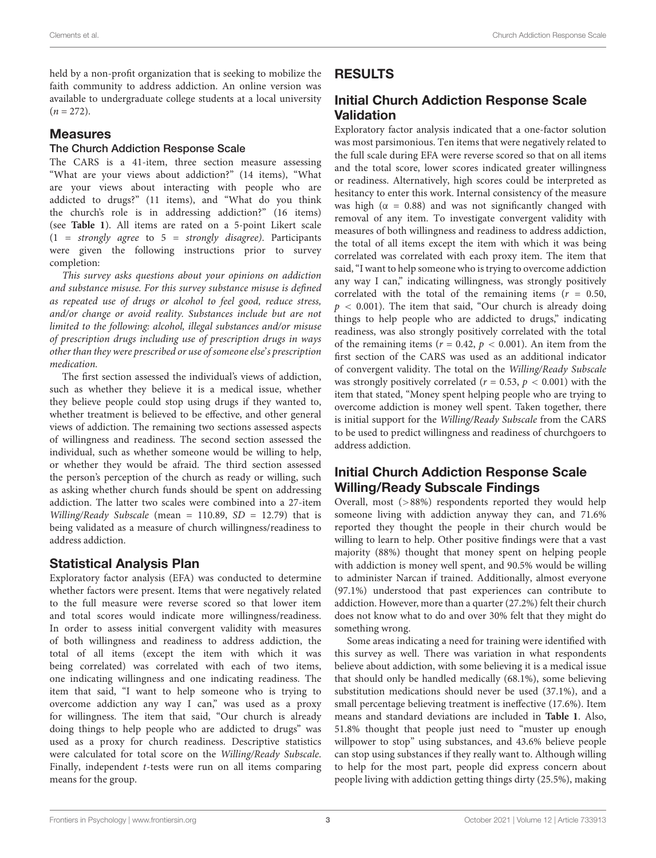held by a non-profit organization that is seeking to mobilize the faith community to address addiction. An online version was available to undergraduate college students at a local university  $(n = 272)$ .

#### Measures

#### The Church Addiction Response Scale

The CARS is a 41-item, three section measure assessing "What are your views about addiction?" (14 items), "What are your views about interacting with people who are addicted to drugs?" (11 items), and "What do you think the church's role is in addressing addiction?" (16 items) (see **[Table 1](#page-5-0)**). All items are rated on a 5-point Likert scale  $(1 = strongly agree to 5 = strongly disagree)$ . Participants were given the following instructions prior to survey completion:

This survey asks questions about your opinions on addiction and substance misuse. For this survey substance misuse is defined as repeated use of drugs or alcohol to feel good, reduce stress, and/or change or avoid reality. Substances include but are not limited to the following: alcohol, illegal substances and/or misuse of prescription drugs including use of prescription drugs in ways other than they were prescribed or use of someone else's prescription medication.

The first section assessed the individual's views of addiction, such as whether they believe it is a medical issue, whether they believe people could stop using drugs if they wanted to, whether treatment is believed to be effective, and other general views of addiction. The remaining two sections assessed aspects of willingness and readiness. The second section assessed the individual, such as whether someone would be willing to help, or whether they would be afraid. The third section assessed the person's perception of the church as ready or willing, such as asking whether church funds should be spent on addressing addiction. The latter two scales were combined into a 27-item Willing/Ready Subscale (mean =  $110.89$ , SD =  $12.79$ ) that is being validated as a measure of church willingness/readiness to address addiction.

#### Statistical Analysis Plan

Exploratory factor analysis (EFA) was conducted to determine whether factors were present. Items that were negatively related to the full measure were reverse scored so that lower item and total scores would indicate more willingness/readiness. In order to assess initial convergent validity with measures of both willingness and readiness to address addiction, the total of all items (except the item with which it was being correlated) was correlated with each of two items, one indicating willingness and one indicating readiness. The item that said, "I want to help someone who is trying to overcome addiction any way I can," was used as a proxy for willingness. The item that said, "Our church is already doing things to help people who are addicted to drugs" was used as a proxy for church readiness. Descriptive statistics were calculated for total score on the Willing/Ready Subscale. Finally, independent t-tests were run on all items comparing means for the group.

## RESULTS

## Initial Church Addiction Response Scale Validation

Exploratory factor analysis indicated that a one-factor solution was most parsimonious. Ten items that were negatively related to the full scale during EFA were reverse scored so that on all items and the total score, lower scores indicated greater willingness or readiness. Alternatively, high scores could be interpreted as hesitancy to enter this work. Internal consistency of the measure was high ( $\alpha = 0.88$ ) and was not significantly changed with removal of any item. To investigate convergent validity with measures of both willingness and readiness to address addiction, the total of all items except the item with which it was being correlated was correlated with each proxy item. The item that said, "I want to help someone who is trying to overcome addiction any way I can," indicating willingness, was strongly positively correlated with the total of the remaining items ( $r = 0.50$ ,  $p < 0.001$ ). The item that said, "Our church is already doing things to help people who are addicted to drugs," indicating readiness, was also strongly positively correlated with the total of the remaining items ( $r = 0.42$ ,  $p < 0.001$ ). An item from the first section of the CARS was used as an additional indicator of convergent validity. The total on the Willing/Ready Subscale was strongly positively correlated ( $r = 0.53$ ,  $p < 0.001$ ) with the item that stated, "Money spent helping people who are trying to overcome addiction is money well spent. Taken together, there is initial support for the Willing/Ready Subscale from the CARS to be used to predict willingness and readiness of churchgoers to address addiction.

### Initial Church Addiction Response Scale Willing/Ready Subscale Findings

Overall, most (>88%) respondents reported they would help someone living with addiction anyway they can, and 71.6% reported they thought the people in their church would be willing to learn to help. Other positive findings were that a vast majority (88%) thought that money spent on helping people with addiction is money well spent, and 90.5% would be willing to administer Narcan if trained. Additionally, almost everyone (97.1%) understood that past experiences can contribute to addiction. However, more than a quarter (27.2%) felt their church does not know what to do and over 30% felt that they might do something wrong.

Some areas indicating a need for training were identified with this survey as well. There was variation in what respondents believe about addiction, with some believing it is a medical issue that should only be handled medically (68.1%), some believing substitution medications should never be used (37.1%), and a small percentage believing treatment is ineffective (17.6%). Item means and standard deviations are included in **[Table 1](#page-5-0)**. Also, 51.8% thought that people just need to "muster up enough willpower to stop" using substances, and 43.6% believe people can stop using substances if they really want to. Although willing to help for the most part, people did express concern about people living with addiction getting things dirty (25.5%), making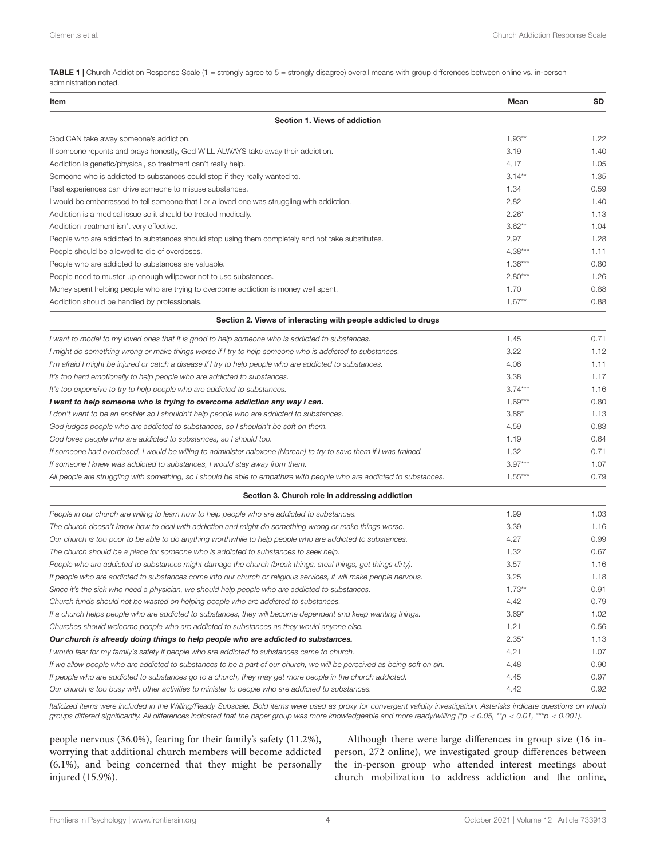<span id="page-5-0"></span>TABLE 1 | Church Addiction Response Scale (1 = strongly agree to 5 = strongly disagree) overall means with group differences between online vs. in-person administration noted.

| Item                                                                                                                     | Mean      | SD   |
|--------------------------------------------------------------------------------------------------------------------------|-----------|------|
| Section 1. Views of addiction                                                                                            |           |      |
| God CAN take away someone's addiction.                                                                                   | $1.93**$  | 1.22 |
| If someone repents and prays honestly, God WILL ALWAYS take away their addiction.                                        | 3.19      | 1.40 |
| Addiction is genetic/physical, so treatment can't really help.                                                           | 4.17      | 1.05 |
| Someone who is addicted to substances could stop if they really wanted to.                                               | $3.14***$ | 1.35 |
| Past experiences can drive someone to misuse substances.                                                                 | 1.34      | 0.59 |
| I would be embarrassed to tell someone that I or a loved one was struggling with addiction.                              | 2.82      | 1.40 |
| Addiction is a medical issue so it should be treated medically.                                                          | $2.26*$   | 1.13 |
| Addiction treatment isn't very effective.                                                                                | $3.62**$  | 1.04 |
| People who are addicted to substances should stop using them completely and not take substitutes.                        | 2.97      | 1.28 |
| People should be allowed to die of overdoses.                                                                            | 4.38***   | 1.11 |
| People who are addicted to substances are valuable.                                                                      | $1.36***$ | 0.80 |
| People need to muster up enough willpower not to use substances.                                                         | $2.80***$ | 1.26 |
| Money spent helping people who are trying to overcome addiction is money well spent.                                     | 1.70      | 0.88 |
| Addiction should be handled by professionals.                                                                            | $1.67**$  | 0.88 |
| Section 2. Views of interacting with people addicted to drugs                                                            |           |      |
| I want to model to my loved ones that it is good to help someone who is addicted to substances.                          | 1.45      | 0.71 |
| I might do something wrong or make things worse if I try to help someone who is addicted to substances.                  | 3.22      | 1.12 |
| I'm afraid I might be injured or catch a disease if I try to help people who are addicted to substances.                 | 4.06      | 1.11 |
| It's too hard emotionally to help people who are addicted to substances.                                                 | 3.38      | 1.17 |
| It's too expensive to try to help people who are addicted to substances.                                                 | $3.74***$ | 1.16 |
| I want to help someone who is trying to overcome addiction any way I can.                                                | $1.69***$ | 0.80 |
| I don't want to be an enabler so I shouldn't help people who are addicted to substances.                                 | $3.88*$   | 1.13 |
| God judges people who are addicted to substances, so I shouldn't be soft on them.                                        | 4.59      | 0.83 |
| God loves people who are addicted to substances, so I should too.                                                        | 1.19      | 0.64 |
| If someone had overdosed, I would be willing to administer naloxone (Narcan) to try to save them if I was trained.       | 1.32      | 0.71 |
| If someone I knew was addicted to substances, I would stay away from them.                                               | $3.97***$ | 1.07 |
| All people are struggling with something, so I should be able to empathize with people who are addicted to substances.   | $1.55***$ | 0.79 |
| Section 3. Church role in addressing addiction                                                                           |           |      |
| People in our church are willing to learn how to help people who are addicted to substances.                             | 1.99      | 1.03 |
| The church doesn't know how to deal with addiction and might do something wrong or make things worse.                    | 3.39      | 1.16 |
| Our church is too poor to be able to do anything worthwhile to help people who are addicted to substances.               | 4.27      | 0.99 |
| The church should be a place for someone who is addicted to substances to seek help.                                     | 1.32      | 0.67 |
| People who are addicted to substances might damage the church (break things, steal things, get things dirty).            | 3.57      | 1.16 |
| If people who are addicted to substances come into our church or religious services, it will make people nervous.        | 3.25      | 1.18 |
| Since it's the sick who need a physician, we should help people who are addicted to substances.                          | $1.73**$  | 0.91 |
| Church funds should not be wasted on helping people who are addicted to substances.                                      | 4.42      | 0.79 |
| If a church helps people who are addicted to substances, they will become dependent and keep wanting things.             | $3.69*$   | 1.02 |
| Churches should welcome people who are addicted to substances as they would anyone else.                                 | 1.21      | 0.56 |
| Our church is already doing things to help people who are addicted to substances.                                        | $2.35*$   | 1.13 |
| I would fear for my family's safety if people who are addicted to substances came to church.                             | 4.21      | 1.07 |
| If we allow people who are addicted to substances to be a part of our church, we will be perceived as being soft on sin. | 4.48      | 0.90 |
| If people who are addicted to substances go to a church, they may get more people in the church addicted.                | 4.45      | 0.97 |
| Our church is too busy with other activities to minister to people who are addicted to substances.                       | 4.42      | 0.92 |

Italicized items were included in the Willing/Ready Subscale. Bold items were used as proxy for convergent validity investigation. Asterisks indicate questions on which groups differed significantly. All differences indicated that the paper group was more knowledgeable and more ready/willing (\*p < 0.05, \*\*p < 0.01, \*\*\*p < 0.001).

people nervous (36.0%), fearing for their family's safety (11.2%), worrying that additional church members will become addicted (6.1%), and being concerned that they might be personally injured (15.9%).

Although there were large differences in group size (16 inperson, 272 online), we investigated group differences between the in-person group who attended interest meetings about church mobilization to address addiction and the online,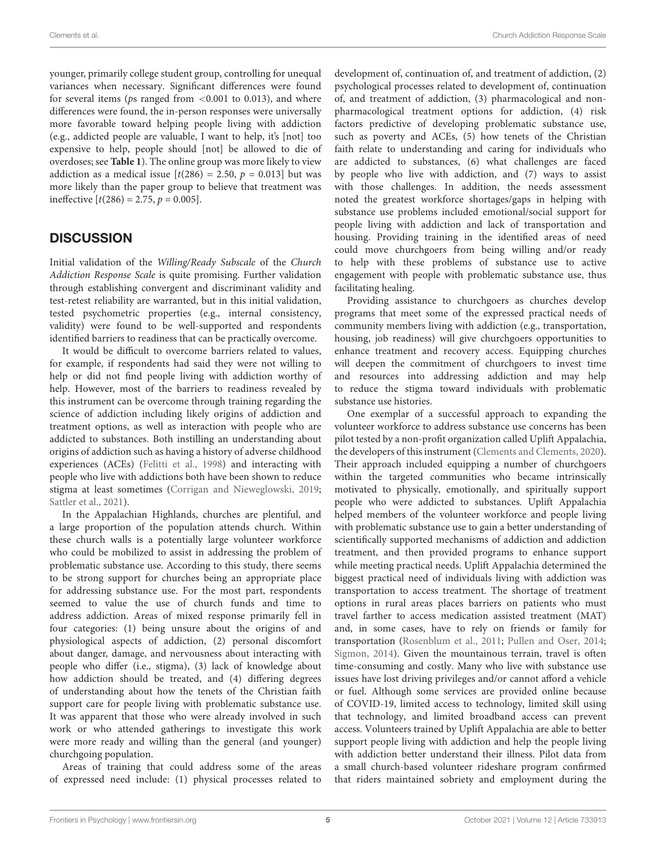younger, primarily college student group, controlling for unequal variances when necessary. Significant differences were found for several items ( $ps$  ranged from  $\leq 0.001$  to 0.013), and where differences were found, the in-person responses were universally more favorable toward helping people living with addiction (e.g., addicted people are valuable, I want to help, it's [not] too expensive to help, people should [not] be allowed to die of overdoses; see **[Table 1](#page-5-0)**). The online group was more likely to view addiction as a medical issue  $[t(286) = 2.50, p = 0.013]$  but was more likely than the paper group to believe that treatment was ineffective  $[t(286) = 2.75, p = 0.005]$ .

### **DISCUSSION**

Initial validation of the Willing/Ready Subscale of the Church Addiction Response Scale is quite promising. Further validation through establishing convergent and discriminant validity and test-retest reliability are warranted, but in this initial validation, tested psychometric properties (e.g., internal consistency, validity) were found to be well-supported and respondents identified barriers to readiness that can be practically overcome.

It would be difficult to overcome barriers related to values, for example, if respondents had said they were not willing to help or did not find people living with addiction worthy of help. However, most of the barriers to readiness revealed by this instrument can be overcome through training regarding the science of addiction including likely origins of addiction and treatment options, as well as interaction with people who are addicted to substances. Both instilling an understanding about origins of addiction such as having a history of adverse childhood experiences (ACEs) [\(Felitti et al.,](#page-7-12) [1998\)](#page-7-12) and interacting with people who live with addictions both have been shown to reduce stigma at least sometimes [\(Corrigan and Nieweglowski,](#page-7-13) [2019;](#page-7-13) [Sattler et al.,](#page-8-15) [2021\)](#page-8-15).

In the Appalachian Highlands, churches are plentiful, and a large proportion of the population attends church. Within these church walls is a potentially large volunteer workforce who could be mobilized to assist in addressing the problem of problematic substance use. According to this study, there seems to be strong support for churches being an appropriate place for addressing substance use. For the most part, respondents seemed to value the use of church funds and time to address addiction. Areas of mixed response primarily fell in four categories: (1) being unsure about the origins of and physiological aspects of addiction, (2) personal discomfort about danger, damage, and nervousness about interacting with people who differ (i.e., stigma), (3) lack of knowledge about how addiction should be treated, and (4) differing degrees of understanding about how the tenets of the Christian faith support care for people living with problematic substance use. It was apparent that those who were already involved in such work or who attended gatherings to investigate this work were more ready and willing than the general (and younger) churchgoing population.

Areas of training that could address some of the areas of expressed need include: (1) physical processes related to

development of, continuation of, and treatment of addiction, (2) psychological processes related to development of, continuation of, and treatment of addiction, (3) pharmacological and nonpharmacological treatment options for addiction, (4) risk factors predictive of developing problematic substance use, such as poverty and ACEs, (5) how tenets of the Christian faith relate to understanding and caring for individuals who are addicted to substances, (6) what challenges are faced by people who live with addiction, and (7) ways to assist with those challenges. In addition, the needs assessment noted the greatest workforce shortages/gaps in helping with substance use problems included emotional/social support for people living with addiction and lack of transportation and housing. Providing training in the identified areas of need could move churchgoers from being willing and/or ready to help with these problems of substance use to active engagement with people with problematic substance use, thus facilitating healing.

Providing assistance to churchgoers as churches develop programs that meet some of the expressed practical needs of community members living with addiction (e.g., transportation, housing, job readiness) will give churchgoers opportunities to enhance treatment and recovery access. Equipping churches will deepen the commitment of churchgoers to invest time and resources into addressing addiction and may help to reduce the stigma toward individuals with problematic substance use histories.

One exemplar of a successful approach to expanding the volunteer workforce to address substance use concerns has been pilot tested by a non-profit organization called Uplift Appalachia, the developers of this instrument [\(Clements and Clements,](#page-7-14) [2020\)](#page-7-14). Their approach included equipping a number of churchgoers within the targeted communities who became intrinsically motivated to physically, emotionally, and spiritually support people who were addicted to substances. Uplift Appalachia helped members of the volunteer workforce and people living with problematic substance use to gain a better understanding of scientifically supported mechanisms of addiction and addiction treatment, and then provided programs to enhance support while meeting practical needs. Uplift Appalachia determined the biggest practical need of individuals living with addiction was transportation to access treatment. The shortage of treatment options in rural areas places barriers on patients who must travel farther to access medication assisted treatment (MAT) and, in some cases, have to rely on friends or family for transportation [\(Rosenblum et al.,](#page-8-16) [2011;](#page-8-16) [Pullen and Oser,](#page-8-17) [2014;](#page-8-17) [Sigmon,](#page-8-18) [2014\)](#page-8-18). Given the mountainous terrain, travel is often time-consuming and costly. Many who live with substance use issues have lost driving privileges and/or cannot afford a vehicle or fuel. Although some services are provided online because of COVID-19, limited access to technology, limited skill using that technology, and limited broadband access can prevent access. Volunteers trained by Uplift Appalachia are able to better support people living with addiction and help the people living with addiction better understand their illness. Pilot data from a small church-based volunteer rideshare program confirmed that riders maintained sobriety and employment during the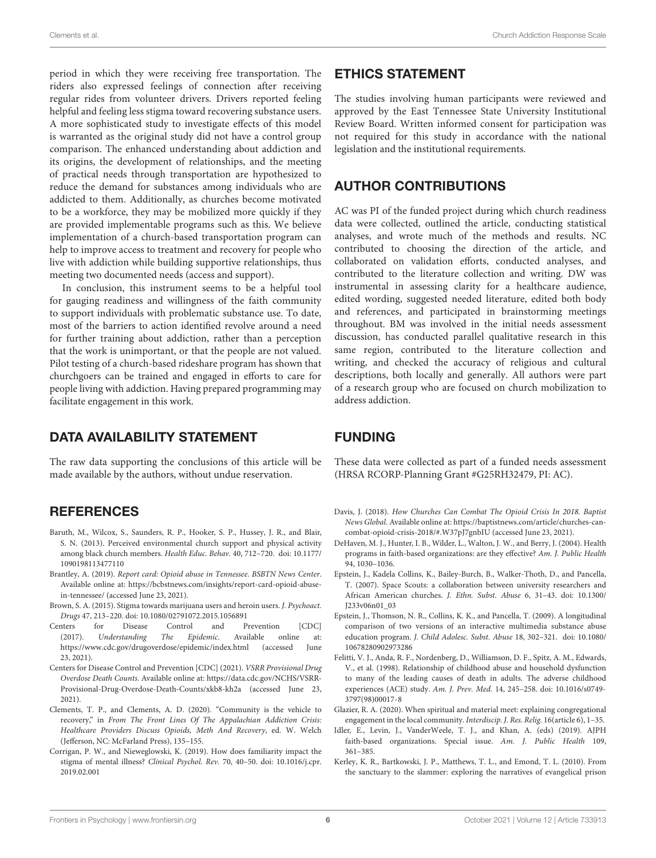period in which they were receiving free transportation. The riders also expressed feelings of connection after receiving regular rides from volunteer drivers. Drivers reported feeling helpful and feeling less stigma toward recovering substance users. A more sophisticated study to investigate effects of this model is warranted as the original study did not have a control group comparison. The enhanced understanding about addiction and its origins, the development of relationships, and the meeting of practical needs through transportation are hypothesized to reduce the demand for substances among individuals who are addicted to them. Additionally, as churches become motivated to be a workforce, they may be mobilized more quickly if they are provided implementable programs such as this. We believe implementation of a church-based transportation program can help to improve access to treatment and recovery for people who live with addiction while building supportive relationships, thus meeting two documented needs (access and support).

In conclusion, this instrument seems to be a helpful tool for gauging readiness and willingness of the faith community to support individuals with problematic substance use. To date, most of the barriers to action identified revolve around a need for further training about addiction, rather than a perception that the work is unimportant, or that the people are not valued. Pilot testing of a church-based rideshare program has shown that churchgoers can be trained and engaged in efforts to care for people living with addiction. Having prepared programming may facilitate engagement in this work.

#### DATA AVAILABILITY STATEMENT

The raw data supporting the conclusions of this article will be made available by the authors, without undue reservation.

#### **REFERENCES**

- <span id="page-7-8"></span>Baruth, M., Wilcox, S., Saunders, R. P., Hooker, S. P., Hussey, J. R., and Blair, S. N. (2013). Perceived environmental church support and physical activity among black church members. Health Educ. Behav. 40, 712–720. [doi: 10.1177/](https://doi.org/10.1177/1090198113477110) [1090198113477110](https://doi.org/10.1177/1090198113477110)
- <span id="page-7-3"></span>Brantley, A. (2019). Report card: Opioid abuse in Tennessee. BSBTN News Center. Available online at: [https://bcbstnews.com/insights/report-card-opioid-abuse](https://bcbstnews.com/insights/report-card-opioid-abuse-in-tennessee/)[in-tennessee/](https://bcbstnews.com/insights/report-card-opioid-abuse-in-tennessee/) (accessed June 23, 2021).
- <span id="page-7-11"></span>Brown, S. A. (2015). Stigma towards marijuana users and heroin users. J. Psychoact. Drugs 47, 213–220. [doi: 10.1080/02791072.2015.1056891](https://doi.org/10.1080/02791072.2015.1056891)
- <span id="page-7-1"></span>Centers for Disease Control and Prevention [CDC] (2017). Understanding The Epidemic. Available online at: <https://www.cdc.gov/drugoverdose/epidemic/index.html> (accessed June 23, 2021).
- <span id="page-7-2"></span>Centers for Disease Control and Prevention [CDC] (2021). VSRR Provisional Drug Overdose Death Counts. Available online at: [https://data.cdc.gov/NCHS/VSRR-](https://data.cdc.gov/NCHS/VSRR-Provisional-Drug-Overdose-Death-Counts/xkb8-kh2a)[Provisional-Drug-Overdose-Death-Counts/xkb8-kh2a](https://data.cdc.gov/NCHS/VSRR-Provisional-Drug-Overdose-Death-Counts/xkb8-kh2a) (accessed June 23, 2021).
- <span id="page-7-14"></span>Clements, T. P., and Clements, A. D. (2020). "Community is the vehicle to recovery," in From The Front Lines Of The Appalachian Addiction Crisis: Healthcare Providers Discuss Opioids, Meth And Recovery, ed. W. Welch (Jefferson, NC: McFarland Press), 135–155.
- <span id="page-7-13"></span>Corrigan, P. W., and Nieweglowski, K. (2019). How does familiarity impact the stigma of mental illness? Clinical Psychol. Rev. 70, 40–50. [doi: 10.1016/j.cpr.](https://doi.org/10.1016/j.cpr.2019.02.001) [2019.02.001](https://doi.org/10.1016/j.cpr.2019.02.001)

#### ETHICS STATEMENT

The studies involving human participants were reviewed and approved by the East Tennessee State University Institutional Review Board. Written informed consent for participation was not required for this study in accordance with the national legislation and the institutional requirements.

#### AUTHOR CONTRIBUTIONS

AC was PI of the funded project during which church readiness data were collected, outlined the article, conducting statistical analyses, and wrote much of the methods and results. NC contributed to choosing the direction of the article, and collaborated on validation efforts, conducted analyses, and contributed to the literature collection and writing. DW was instrumental in assessing clarity for a healthcare audience, edited wording, suggested needed literature, edited both body and references, and participated in brainstorming meetings throughout. BM was involved in the initial needs assessment discussion, has conducted parallel qualitative research in this same region, contributed to the literature collection and writing, and checked the accuracy of religious and cultural descriptions, both locally and generally. All authors were part of a research group who are focused on church mobilization to address addiction.

#### FUNDING

These data were collected as part of a funded needs assessment (HRSA RCORP-Planning Grant #G25RH32479, PI: AC).

- <span id="page-7-0"></span>Davis, J. (2018). How Churches Can Combat The Opioid Crisis In 2018. Baptist News Global. Available online at: [https://baptistnews.com/article/churches-can](https://baptistnews.com/article/churches-can-combat-opioid-crisis-2018/#.W37pJ7gnbIU)[combat-opioid-crisis-2018/#.W37pJ7gnbIU](https://baptistnews.com/article/churches-can-combat-opioid-crisis-2018/#.W37pJ7gnbIU) (accessed June 23, 2021).
- <span id="page-7-7"></span>DeHaven, M. J., Hunter, I. B., Wilder, L., Walton, J. W., and Berry, J. (2004). Health programs in faith-based organizations: are they effective? Am. J. Public Health 94, 1030–1036.
- <span id="page-7-9"></span>Epstein, J., Kadela Collins, K., Bailey-Burch, B., Walker-Thoth, D., and Pancella, T. (2007). Space Scouts: a collaboration between university researchers and African American churches. J. Ethn. Subst. Abuse 6, 31–43. [doi: 10.1300/](https://doi.org/10.1300/J233v06n01_03) [J233v06n01\\_03](https://doi.org/10.1300/J233v06n01_03)
- <span id="page-7-10"></span>Epstein, J., Thomson, N. R., Collins, K. K., and Pancella, T. (2009). A longitudinal comparison of two versions of an interactive multimedia substance abuse education program. J. Child Adolesc. Subst. Abuse 18, 302–321. [doi: 10.1080/](https://doi.org/10.1080/10678280902973286) [10678280902973286](https://doi.org/10.1080/10678280902973286)
- <span id="page-7-12"></span>Felitti, V. J., Anda, R. F., Nordenberg, D., Williamson, D. F., Spitz, A. M., Edwards, V., et al. (1998). Relationship of childhood abuse and household dysfunction to many of the leading causes of death in adults. The adverse childhood experiences (ACE) study. Am. J. Prev. Med. 14, 245–258. [doi: 10.1016/s0749-](https://doi.org/10.1016/s0749-3797(98)00017-8) [3797\(98\)00017-8](https://doi.org/10.1016/s0749-3797(98)00017-8)
- <span id="page-7-6"></span>Glazier, R. A. (2020). When spiritual and material meet: explaining congregational engagement in the local community. Interdiscip. J. Res. Relig. 16(article 6), 1–35.
- <span id="page-7-4"></span>Idler, E., Levin, J., VanderWeele, T. J., and Khan, A. (eds) (2019). AJPH faith-based organizations. Special issue. Am. J. Public Health 109, 361–385.
- <span id="page-7-5"></span>Kerley, K. R., Bartkowski, J. P., Matthews, T. L., and Emond, T. L. (2010). From the sanctuary to the slammer: exploring the narratives of evangelical prison